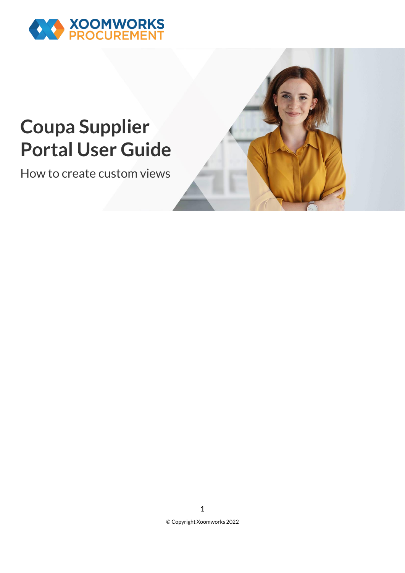

## **Coupa Supplier Portal User Guide**

How to create custom views

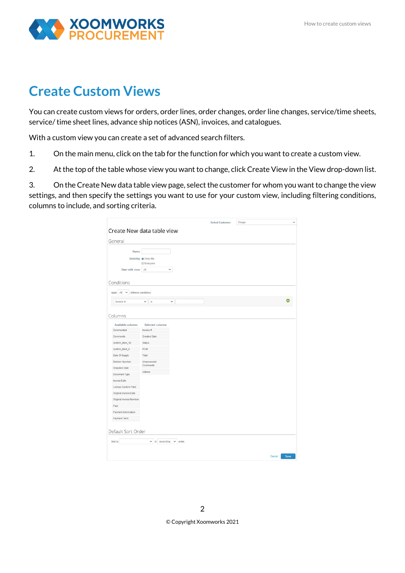

## **Create Custom Views**

You can create custom views for orders, order lines, order changes, order line changes, service/time sheets, service/ time sheet lines, advance ship notices (ASN), invoices, and catalogues.

With a custom view you can create a set of advanced search filters.

- 1. On the main menu, click on the tab for the function for which you want to create a custom view.
- 2. At the top of the table whose view you want to change, click Create View in the View drop-down list.

3. On the Create New data table view page, select the customer for whom you want to change the view settings, and then specify the settings you want to use for your custom view, including filtering conditions, columns to include, and sorting criteria.

| Create New data table view<br>Name<br>Visibility @ Only Me<br>C Everyone<br>Start with view<br>$\mathbb{A}$<br>$\checkmark$<br>of these conditions:<br>Invoice $#$<br>$\checkmark$<br>is<br>$\checkmark$<br>Selected columns<br>Available columns<br>Commented<br>Invoice #<br>Comments<br>Created Date<br>Status<br>custom_field_10<br>PO#<br>custom_field_9<br>Date Of Supply<br>Total<br>Delivery Number<br>Unanswered<br>Comments<br><b>Disputed Date</b><br>Actions<br>Document Type<br>Invoice Date<br>Lookup Custom Field<br>Original Invoice Date<br>Original Invoice Number<br>Paid<br>Payment Information<br>Payment Term<br>$\vee$ in ascending $\vee$ order. |            | <b>Select Customer</b> | Coupa |  |
|--------------------------------------------------------------------------------------------------------------------------------------------------------------------------------------------------------------------------------------------------------------------------------------------------------------------------------------------------------------------------------------------------------------------------------------------------------------------------------------------------------------------------------------------------------------------------------------------------------------------------------------------------------------------------|------------|------------------------|-------|--|
| General                                                                                                                                                                                                                                                                                                                                                                                                                                                                                                                                                                                                                                                                  |            |                        |       |  |
|                                                                                                                                                                                                                                                                                                                                                                                                                                                                                                                                                                                                                                                                          |            |                        |       |  |
| Apply All V<br>Default Sort Order<br>Sort by                                                                                                                                                                                                                                                                                                                                                                                                                                                                                                                                                                                                                             |            |                        |       |  |
|                                                                                                                                                                                                                                                                                                                                                                                                                                                                                                                                                                                                                                                                          |            |                        |       |  |
|                                                                                                                                                                                                                                                                                                                                                                                                                                                                                                                                                                                                                                                                          |            |                        |       |  |
|                                                                                                                                                                                                                                                                                                                                                                                                                                                                                                                                                                                                                                                                          |            |                        |       |  |
|                                                                                                                                                                                                                                                                                                                                                                                                                                                                                                                                                                                                                                                                          |            |                        |       |  |
|                                                                                                                                                                                                                                                                                                                                                                                                                                                                                                                                                                                                                                                                          |            |                        |       |  |
|                                                                                                                                                                                                                                                                                                                                                                                                                                                                                                                                                                                                                                                                          | Conditions |                        |       |  |
|                                                                                                                                                                                                                                                                                                                                                                                                                                                                                                                                                                                                                                                                          |            |                        |       |  |
|                                                                                                                                                                                                                                                                                                                                                                                                                                                                                                                                                                                                                                                                          |            |                        |       |  |
|                                                                                                                                                                                                                                                                                                                                                                                                                                                                                                                                                                                                                                                                          |            |                        |       |  |
|                                                                                                                                                                                                                                                                                                                                                                                                                                                                                                                                                                                                                                                                          |            |                        |       |  |
|                                                                                                                                                                                                                                                                                                                                                                                                                                                                                                                                                                                                                                                                          | Columns    |                        |       |  |
|                                                                                                                                                                                                                                                                                                                                                                                                                                                                                                                                                                                                                                                                          |            |                        |       |  |
|                                                                                                                                                                                                                                                                                                                                                                                                                                                                                                                                                                                                                                                                          |            |                        |       |  |
|                                                                                                                                                                                                                                                                                                                                                                                                                                                                                                                                                                                                                                                                          |            |                        |       |  |
|                                                                                                                                                                                                                                                                                                                                                                                                                                                                                                                                                                                                                                                                          |            |                        |       |  |
|                                                                                                                                                                                                                                                                                                                                                                                                                                                                                                                                                                                                                                                                          |            |                        |       |  |
|                                                                                                                                                                                                                                                                                                                                                                                                                                                                                                                                                                                                                                                                          |            |                        |       |  |
|                                                                                                                                                                                                                                                                                                                                                                                                                                                                                                                                                                                                                                                                          |            |                        |       |  |
|                                                                                                                                                                                                                                                                                                                                                                                                                                                                                                                                                                                                                                                                          |            |                        |       |  |
|                                                                                                                                                                                                                                                                                                                                                                                                                                                                                                                                                                                                                                                                          |            |                        |       |  |
|                                                                                                                                                                                                                                                                                                                                                                                                                                                                                                                                                                                                                                                                          |            |                        |       |  |
|                                                                                                                                                                                                                                                                                                                                                                                                                                                                                                                                                                                                                                                                          |            |                        |       |  |
|                                                                                                                                                                                                                                                                                                                                                                                                                                                                                                                                                                                                                                                                          |            |                        |       |  |
|                                                                                                                                                                                                                                                                                                                                                                                                                                                                                                                                                                                                                                                                          |            |                        |       |  |
|                                                                                                                                                                                                                                                                                                                                                                                                                                                                                                                                                                                                                                                                          |            |                        |       |  |
|                                                                                                                                                                                                                                                                                                                                                                                                                                                                                                                                                                                                                                                                          |            |                        |       |  |
|                                                                                                                                                                                                                                                                                                                                                                                                                                                                                                                                                                                                                                                                          |            |                        |       |  |
|                                                                                                                                                                                                                                                                                                                                                                                                                                                                                                                                                                                                                                                                          |            |                        |       |  |
|                                                                                                                                                                                                                                                                                                                                                                                                                                                                                                                                                                                                                                                                          |            |                        |       |  |
|                                                                                                                                                                                                                                                                                                                                                                                                                                                                                                                                                                                                                                                                          |            |                        |       |  |
|                                                                                                                                                                                                                                                                                                                                                                                                                                                                                                                                                                                                                                                                          |            |                        |       |  |
|                                                                                                                                                                                                                                                                                                                                                                                                                                                                                                                                                                                                                                                                          |            |                        |       |  |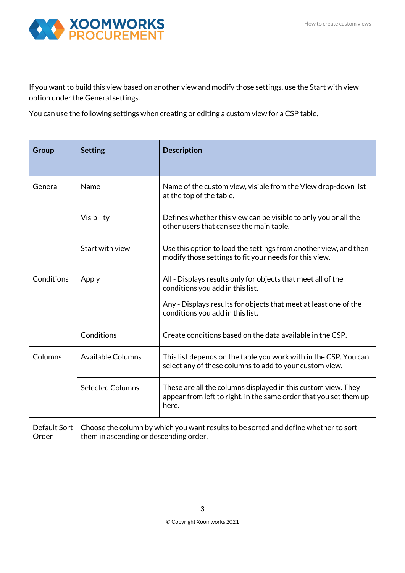

If you want to build this view based on another view and modify those settings, use the Start with view option under the General settings.

You can use the following settings when creating or editing a custom view for a CSP table.

| Group                 | <b>Setting</b>                                                                                                                | <b>Description</b>                                                                                                                          |  |
|-----------------------|-------------------------------------------------------------------------------------------------------------------------------|---------------------------------------------------------------------------------------------------------------------------------------------|--|
|                       |                                                                                                                               |                                                                                                                                             |  |
| General               | Name                                                                                                                          | Name of the custom view, visible from the View drop-down list<br>at the top of the table.                                                   |  |
|                       | Visibility                                                                                                                    | Defines whether this view can be visible to only you or all the<br>other users that can see the main table.                                 |  |
|                       | Start with view                                                                                                               | Use this option to load the settings from another view, and then<br>modify those settings to fit your needs for this view.                  |  |
| Conditions            | Apply                                                                                                                         | All - Displays results only for objects that meet all of the<br>conditions you add in this list.                                            |  |
|                       |                                                                                                                               | Any - Displays results for objects that meet at least one of the<br>conditions you add in this list.                                        |  |
|                       | Conditions                                                                                                                    | Create conditions based on the data available in the CSP.                                                                                   |  |
| Columns               | <b>Available Columns</b>                                                                                                      | This list depends on the table you work with in the CSP. You can<br>select any of these columns to add to your custom view.                 |  |
|                       | <b>Selected Columns</b>                                                                                                       | These are all the columns displayed in this custom view. They<br>appear from left to right, in the same order that you set them up<br>here. |  |
| Default Sort<br>Order | Choose the column by which you want results to be sorted and define whether to sort<br>them in ascending or descending order. |                                                                                                                                             |  |